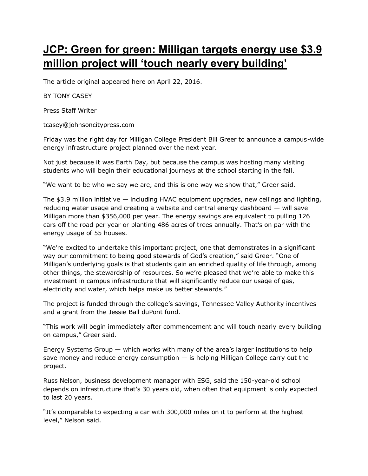## **JCP: Green for green: Milligan targets energy use \$3.9 million project will 'touch nearly every building'**

The article original appeared here on April 22, 2016.

BY TONY CASEY

Press Staff Writer

tcasey@johnsoncitypress.com

Friday was the right day for Milligan College President Bill Greer to announce a campus-wide energy infrastructure project planned over the next year.

Not just because it was Earth Day, but because the campus was hosting many visiting students who will begin their educational journeys at the school starting in the fall.

"We want to be who we say we are, and this is one way we show that," Greer said.

The  $$3.9$  million initiative  $-$  including HVAC equipment upgrades, new ceilings and lighting, reducing water usage and creating a website and central energy dashboard — will save Milligan more than \$356,000 per year. The energy savings are equivalent to pulling 126 cars off the road per year or planting 486 acres of trees annually. That's on par with the energy usage of 55 houses.

"We're excited to undertake this important project, one that demonstrates in a significant way our commitment to being good stewards of God's creation," said Greer. "One of Milligan's underlying goals is that students gain an enriched quality of life through, among other things, the stewardship of resources. So we're pleased that we're able to make this investment in campus infrastructure that will significantly reduce our usage of gas, electricity and water, which helps make us better stewards."

The project is funded through the college's savings, Tennessee Valley Authority incentives and a grant from the Jessie Ball duPont fund.

"This work will begin immediately after commencement and will touch nearly every building on campus," Greer said.

Energy Systems Group — which works with many of the area's larger institutions to help save money and reduce energy consumption  $-$  is helping Milligan College carry out the project.

Russ Nelson, business development manager with ESG, said the 150-year-old school depends on infrastructure that's 30 years old, when often that equipment is only expected to last 20 years.

"It's comparable to expecting a car with 300,000 miles on it to perform at the highest level," Nelson said.